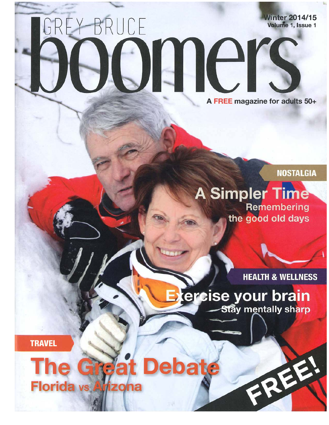## **Winter 2014/15** GREY-BRUCE Volume 1, Issue 1 BUILE A FREE magazine for adults 50+

**NOSTALGIA** 

**A Simpler Time Remembering** the good old days

**HEALTH & WELLNESS** 

Exercise your brain **Stay mentally sharp** 

**TRAVEL** 

## **Debate** The **Chrefa Florida vs Arizona**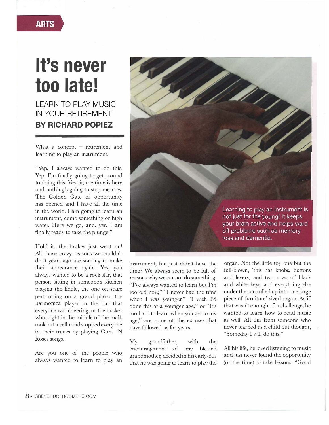## **It's never too late!**

**LEARN TO PLAY MUSIC IN YOUR RETIREMENT BY RICHARD POPIEZ** 

What a concept  $-$  retirement and learning to play an instrument.

"Yep, I always wanted to do this. Yep, I'm finally going to get around to doing this. Yes sir, the time is here and nothing's going to stop me now. The Golden Gate of opportunity has opened and I have all the time in the world. I am going to learn an instrument, come something or high water. Here we go, and, yes, I am finally ready to take the plunge."

Hold it, the brakes just went on! All those crazy reasons we couldn't do it years ago are starting to make their appearance again. Yes, you always wanted to be a rock star, that person sitting in someone's kitchen playing the fiddle, the one on stage performing on a grand piano, the harmonica player in the bar that everyone was cheering, or the busker who, right in the middle of the mall, took out a cello and stopped everyone in their tracks by playing Guns 'N Roses songs.

Are you one of the people who always wanted to learn to play an



instrument, but just didn't have the time? We always seem to be full of reasons why we cannot do something. "I've always wanted to learn but I'm too old now," "I never had the time when I was younger," "I wish I'd done this at a younger age," or "It's too hard to learn when you get to my age," are some of the excuses that have followed us for years.

My grandfather, with the encouragement of my blessed grandmother, decided in his early-80s that he was going to learn to play the

organ. Not the little toy one but the full-blown, 'this has knobs, buttons and levers, and two rows of black and white keys, and everything else under the sun rolled up into one large piece of furniture' sized organ. As if that wasn't enough of a challenge, he wanted to learn how to read music as well. All this from someone who never learned as a child but thought, "Someday I will do this."

All his life, he loved listening to music and just never found the opportunity (or the time) to take lessons. "Good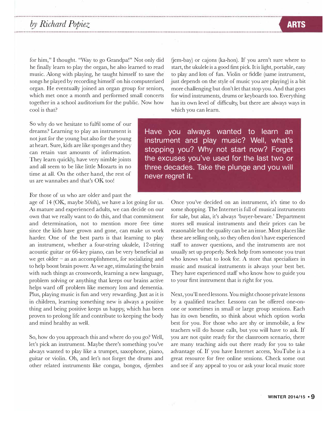## *by Richard Popiez*

for him," I thought. "Way to go Grandpa!" Not only did he finally learn to play the organ, he also learned to read music. Along with playing, he taught himself to save the songs he played by recording himself on his computerized organ. He eventually joined an organ group for seniors, which met once a month and performed small concerts together in a school auditorium for the public. Now how cool is that?

So why do we hesitate to fulfil some of our dreams? Learning to play an instrument is not just for the young but also for the young at heart. Sure, kids are like sponges and they can retain vast amounts of information. They learn quickly, have very nimble joints and all seem to be like little Mozarts in no time at all. On the other hand, the rest of us are wannabes and that's OK too!

For those of us who are older and past the

age of 14 (OK, maybe 50ish), we have a lot going for us. As mature and experienced adults, we can decide on our own that we really want to do this, and that commitment and determination, not to mention more free time since the kids have grown and gone, can make us work harder. One of the best parts is that learning to play an instrument, whether a four-string ukulele, 12-string acoustic guitar or 66-key piano, can be very beneficial as we get older  $-$  as an accomplishment, for socializing and to help boost brain power. As we age, stimulating the brain with such things as crosswords, learning a new language, problem solving or anything that keeps our brains active helps ward off problem like memory loss and dementia. Plus, playing music is fun and very rewarding. Just as it is in children, learning something new is always a positive thing and being positive keeps us happy, which has been proven to prolong life and contribute to keeping the body and mind healthy as well.

So, how do you approach this and where do you go? Well, let's pick an instrument. Maybe there's something you've always wanted to play like a trumpet, saxophone, piano, guitar or violin. Oh, and let's not forget the drums and other related instruments like congas, bongos, djembes

 $(iem-bay)$  or cajons (ka-hon). If you aren't sure where to start, the ukulele is a good first pick. It is light, portable, easy to play and lots of fun. Violin or fiddle (same instrument, just depends on the style of music you are playing) is a bit more challenging but don't let that stop you. And that goes for wind instruments, drums or keyboards too. Everything has its own level of difficulty, but there are always ways in which you can learn.

**Have you always wanted to learn an instrument and play music? Well, what's stopping you? Why not start now? Forget the excuses you've used for the last two or three decades. Take the plunge and you will never regret it.** 

> Once you've decided on an instrument, it's time to do some shopping. The Internet is full of musical instruments for sale, but alas, it's always 'buyer-beware.' Department stores sell musical instruments and their prices can be reasonable but the quality can be an issue. Most places like these are selling only, so they often don't have experienced staff to answer questions, and the instruments are not usually set up properly. Seek help from someone you trust who knows what to look for. A store that specializes in music and musical instruments is always your best bet. They have experienced staff who know how to guide you to your first instrument that is right for you.

> Next, you'll need lessons. You might choose private lessons by a qualified teacher. Lessons can be offered one-onone or sometimes in small or large group sessions. Each has its own benefits, so think about which option works best for you. For those who are shy or immobile, a few teachers will do house calls, but you will have to ask. If you are not quite ready for the classroom scenario, there are many teaching aids out there ready for you to take advantage of. If you have Internet access, YouTube is a great resource for free online sessions. Check some out and see if any appeal to you or ask your local music store